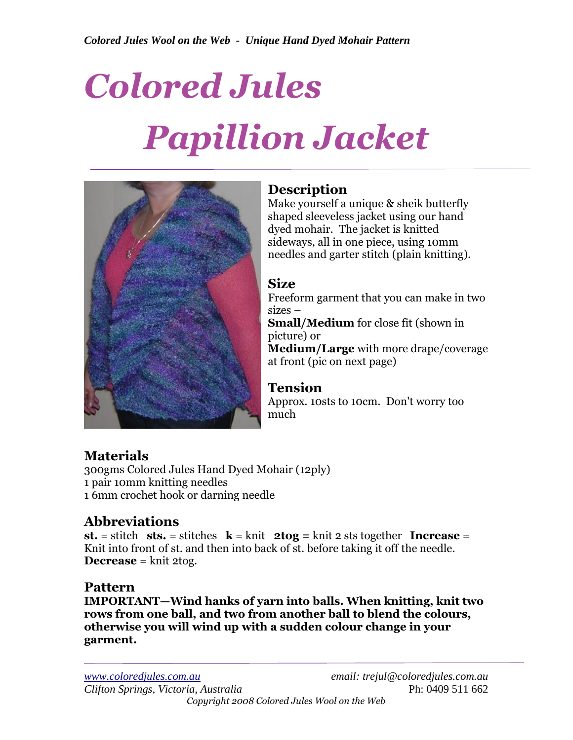# *Colored Jules Papillion Jacket*



# **Description**

Make yourself a unique & sheik butterfly shaped sleeveless jacket using our hand dyed mohair. The jacket is knitted sideways, all in one piece, using 10mm needles and garter stitch (plain knitting).

## **Size**

Freeform garment that you can make in two sizes –

**Small/Medium** for close fit (shown in picture) or

**Medium/Large** with more drape/coverage at front (pic on next page)

## **Tension**

Approx. 10sts to 10cm. Don't worry too much

# **Materials**

300gms Colored Jules Hand Dyed Mohair (12ply) 1 pair 10mm knitting needles 1 6mm crochet hook or darning needle

# **Abbreviations**

**st.** = stitch sts. = stitches  $k = k$ nit  $2tog = k$ nit 2 sts together **Increase** = Knit into front of st. and then into back of st. before taking it off the needle. **Decrease** = knit 2tog.

## **Pattern**

**IMPORTANT—Wind hanks of yarn into balls. When knitting, knit two rows from one ball, and two from another ball to blend the colours, otherwise you will wind up with a sudden colour change in your garment.**